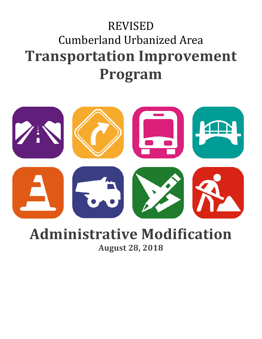## REVISED Cumberland Urbanized Area **Transportation Improvement Program**



## **Administrative Modification August 28, 2018**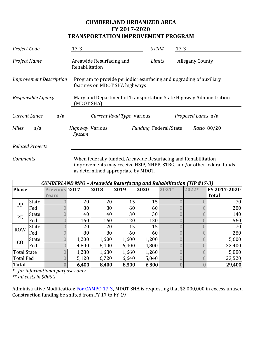## **CUMBERLAND URBANIZED AREA FY 2017-2020 TRANSPORTATION IMPROVEMENT PROGRAM**

| Project Code                                                                   | $17-3$                                                                                              | STIP#                 | $17-3$                 |  |  |
|--------------------------------------------------------------------------------|-----------------------------------------------------------------------------------------------------|-----------------------|------------------------|--|--|
| Project Name                                                                   | Areawide Resurfacing and<br>Rehabilitation                                                          | Limits                | <b>Allegany County</b> |  |  |
| <b>Improvement Description</b>                                                 | Program to provide periodic resurfacing and upgrading of auxiliary<br>features on MDOT SHA highways |                       |                        |  |  |
| Responsible Agency                                                             | Maryland Department of Transportation State Highway Administration<br>(MDOT SHA)                    |                       |                        |  |  |
| <b>Current Lanes</b><br>Current Road Type Various<br>Proposed Lanes n/a<br>n/a |                                                                                                     |                       |                        |  |  |
| <b>Miles</b><br>n/a                                                            | Highway Various<br>System                                                                           | Funding Federal/State | Ratio 80/20            |  |  |
| <b>Related Projects</b>                                                        |                                                                                                     |                       |                        |  |  |

*Comments* When federally funded, Areawide Resurfacing and Rehabilitation improvements may receive HSIP, NHPP, STBG, and/or other federal funds as determined appropriate by MDOT.

| <b>CUMBERLAND MPO - Areawide Resurfacing and Rehabilitation (TIP #17-3)</b> |              |               |       |       |       |       |         |       |              |
|-----------------------------------------------------------------------------|--------------|---------------|-------|-------|-------|-------|---------|-------|--------------|
| <b>Phase</b>                                                                |              | Previous 2017 |       | 2018  | 2019  | 2020  | $2021*$ | 2022* | FY 2017-2020 |
|                                                                             |              | <b>Years</b>  |       |       |       |       |         |       | <b>Total</b> |
| PP                                                                          | State        |               | 20    | 20    | 15    | 15    |         |       | 70           |
|                                                                             | Fed          |               | 80    | 80    | 60    | 60    |         |       | 280          |
| PE                                                                          | State        |               | 40    | 40    | 30    | 30    |         |       | 140          |
|                                                                             | Fed          |               | 160   | 160   | 120   | 120   |         |       | 560          |
| <b>ROW</b>                                                                  | State        |               | 20    | 20    | 15    | 15    |         |       | 70           |
|                                                                             | Fed          |               | 80    | 80    | 60    | 60    |         |       | 280          |
| CO                                                                          | <b>State</b> |               | 1,200 | 1,600 | 1,600 | 1,200 |         |       | 5,600        |
|                                                                             | Fed          |               | 4,800 | 6,400 | 6,400 | 4,800 |         |       | 22,400       |
| Total State                                                                 |              |               | 1,280 | 1,680 | 1,660 | 1,260 |         |       | 5,880        |
| Total Fed                                                                   |              |               | 5,120 | 6,720 | 6,640 | 5,040 |         |       | 23,520       |
| Total                                                                       |              |               | 6,400 | 8,400 | 8,300 | 6,300 |         |       | 29,400       |

*\* for informational purposes only*

*\*\* all costs in \$000's*

Administrative Modification: For CAMPO 17-3, MDOT SHA is requesting that \$2,000,000 in excess unused Construction funding be shifted from FY 17 to FY 19